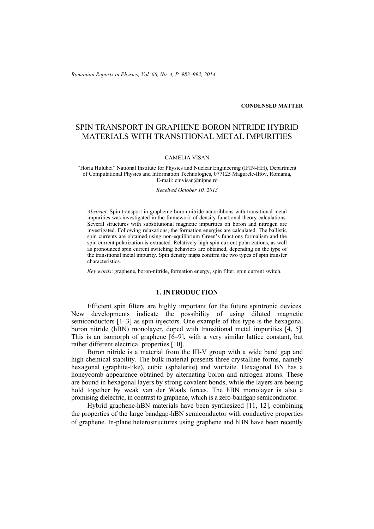*Romanian Reports in Physics, Vol. 66, No. 4, P. 983–992, 2014*

#### **CONDENSED MATTER**

# SPIN TRANSPORT IN GRAPHENE-BORON NITRIDE HYBRID MATERIALS WITH TRANSITIONAL METAL IMPURITIES

#### CAMELIA VISAN

"Horia Hulubei" National Institute for Physics and Nuclear Engineering (IFIN-HH), Department of Computational Physics and Information Technologies, 077125 Magurele-Ilfov, Romania, E-mail: cmvisan@nipne.ro

*Received October 10, 2013* 

*Abstract*. Spin transport in grapheme-boron nitride nanoribbons with transitional metal impurities was investigated in the framework of density functional theory calculations. Several structures with substitutional magnetic impurities on boron and nitrogen are investigated. Following relaxations, the formation energies are calculated. The ballistic spin currents are obtained using non-equilibrium Green's functions formalism and the spin current polarization is extracted. Relatively high spin current polarizations, as well as pronounced spin current switching behaviors are obtained, depending on the type of the transitional metal impurity. Spin density maps confirm the two types of spin transfer characteristics.

*Key words*: graphene, boron-nitride, formation energy, spin filter, spin current switch.

## **1. INTRODUCTION**

Efficient spin filters are highly important for the future spintronic devices. New developments indicate the possibility of using diluted magnetic semiconductors [1–3] as spin injectors. One example of this type is the hexagonal boron nitride (hBN) monolayer, doped with transitional metal impurities [4, 5]. This is an isomorph of graphene [6–9], with a very similar lattice constant, but rather different electrical properties [10].

Boron nitride is a material from the III-V group with a wide band gap and high chemical stability. The bulk material presents three crystalline forms, namely hexagonal (graphite-like), cubic (sphalerite) and wurtzite. Hexagonal BN has a honeycomb appearence obtained by alternating boron and nitrogen atoms. These are bound in hexagonal layers by strong covalent bonds, while the layers are beeing hold together by weak van der Waals forces. The hBN monolayer is also a promising dielectric, in contrast to graphene, which is a zero-bandgap semiconductor.

Hybrid graphene-hBN materials have been synthesized [11, 12], combining the properties of the large bandgap-hBN semiconductor with conductive properties of graphene. In-plane heterostructures using graphene and hBN have been recently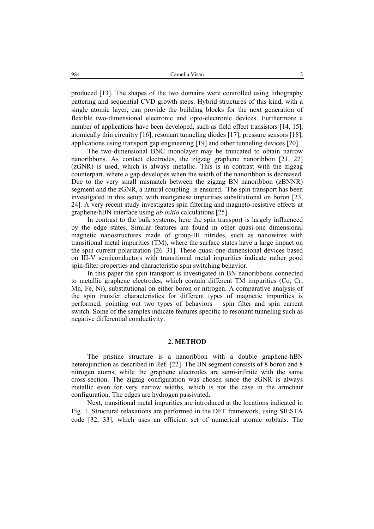produced [13]. The shapes of the two domains were controlled using lithography pattering and sequential CVD growth steps. Hybrid structures of this kind, with a single atomic layer, can provide the building blocks for the next generation of flexible two-dimensional electronic and opto-electronic devices. Furthermore a number of applications have been developed, such as field effect transistors [14, 15], atomically thin circuitry [16], resonant tunneling diodes [17], pressure sensors [18], applications using transport gap engineering [19] and other tunneling devices [20].

The two-dimensional BNC monolayer may be truncated to obtain narrow nanoribbons. As contact electrodes, the zigzag graphene nanoribbon [21, 22] (zGNR) is used, which is always metallic. This is in contrast with the zigzag counterpart, where a gap developes when the width of the nanoribbon is decreased. Due to the very small mismatch between the zigzag BN nanoribbon (zBNNR) segment and the zGNR, a natural coupling is ensured. The spin transport has been investigated in this setup, with manganese impurities substitutional on boron [23, 24]. A very recent study investigates spin filtering and magneto-resistive effects at graphene/hBN interface using *ab initio* calculations [25].

In contrast to the bulk systems, here the spin transport is largely influenced by the edge states. Similar features are found in other quasi-one dimensional magnetic nanostructures made of group-III nitrides, such as nanowires with transitional metal impurities (TM), where the surface states have a large impact on the spin current polarization [26–31]. These quasi one-dimensional devices based on III-V semiconductors with transitional metal impurities indicate rather good spin-filter properties and characteristic spin switching behavior.

In this paper the spin transport is investigated in BN nanoribbons connected to metallic graphene electrodes, which contain different TM impurities (Co, Cr, Mn, Fe, Ni), substitutional on either boron or nitrogen. A comparative analysis of the spin transfer characteristics for different types of magnetic impurities is performed, pointing out two types of behaviors – spin filter and spin current switch. Some of the samples indicate features specific to resonant tunneling such as negative differential conductivity.

## **2. METHOD**

 The pristine structure is a nanoribbon with a double graphene-hBN heterojunction as described in Ref. [22]. The BN segment consists of 8 boron and 8 nitrogen atoms, while the graphene electrodes are semi-infinite with the same cross-section. The zigzag configuration was chosen since the zGNR is always metallic even for very narrow widths, which is not the case in the armchair configuration. The edges are hydrogen passivated.

 Next, transitional metal impurities are introduced at the locations indicated in Fig. 1. Structural relaxations are performed in the DFT framework, using SIESTA code [32, 33], which uses an efficient set of numerical atomic orbitals. The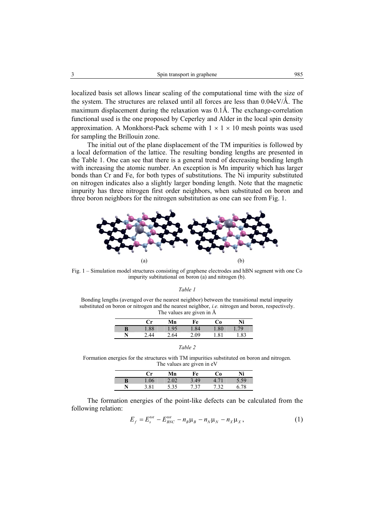localized basis set allows linear scaling of the computational time with the size of the system. The structures are relaxed until all forces are less than  $0.04 \text{eV}/\text{\AA}$ . The maximum displacement during the relaxation was  $0.1\text{\AA}$ . The exchange-correlation functional used is the one proposed by Ceperley and Alder in the local spin density approximation. A Monkhorst-Pack scheme with  $1 \times 1 \times 10$  mesh points was used for sampling the Brillouin zone.

 The initial out of the plane displacement of the TM impurities is followed by a local deformation of the lattice. The resulting bonding lengths are presented in the Table 1. One can see that there is a general trend of decreasing bonding length with increasing the atomic number. An exception is Mn impurity which has larger bonds than Cr and Fe, for both types of substitutions. The Ni impurity substituted on nitrogen indicates also a slightly larger bonding length. Note that the magnetic impurity has three nitrogen first order neighbors, when substituted on boron and three boron neighbors for the nitrogen substitution as one can see from Fig. 1.



Fig. 1 – Simulation model structures consisting of graphene electrodes and hBN segment with one Co impurity subtitutional on boron (a) and nitrogen (b).

*Table 1* 

Bonding lengths (averaged over the nearest neighbor) between the transitional metal impurity substituted on boron or nitrogen and the nearest neighbor, *i.e.* nitrogen and boron, respectively. The values are given in Å

| Сr  | Мn  | Fe   | Co                        | Ni  |
|-----|-----|------|---------------------------|-----|
| .88 | .95 | .84  | .80                       | 79  |
| 44  | -64 | 2.09 | R <sub>1</sub><br>$\cdot$ | .83 |

| ani |  |
|-----|--|
|     |  |

Formation energies for the structures with TM impurities substituted on boron and nitrogen. The values are given in eV

|   | €r   | Mn   | Fe   | Cо   | Ni   |
|---|------|------|------|------|------|
|   | .06  | 2.02 | 3.49 | 4.71 | 5.59 |
| N | 3.81 | 5.35 | 7.37 | 7.32 | 6.78 |

 The formation energies of the point-like defects can be calculated from the following relation:

$$
E_f = E_s^{tot} - E_{BNC}^{tot} - n_B \mu_B - n_N \mu_N - n_X \mu_X, \qquad (1)
$$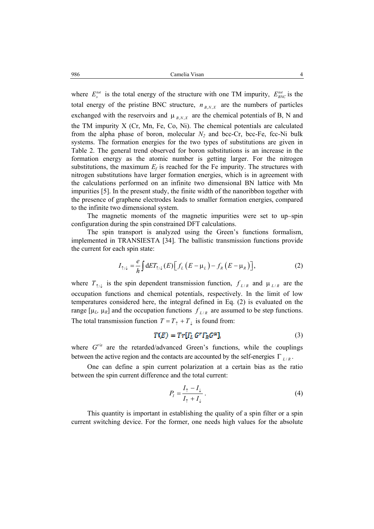where  $E_s^{tot}$  is the total energy of the structure with one TM impurity,  $E_{BNC}^{tot}$  is the total energy of the pristine BNC structure,  $n_{B,N,X}$  are the numbers of particles exchanged with the reservoirs and  $\mu_{B,N,X}$  are the chemical potentials of B, N and the TM impurity X (Cr, Mn, Fe, Co, Ni). The chemical potentials are calculated from the alpha phase of boron, molecular  $N_2$  and bcc-Cr, bcc-Fe, fcc-Ni bulk systems. The formation energies for the two types of substitutions are given in Table 2. The general trend observed for boron substitutions is an increase in the formation energy as the atomic number is getting larger. For the nitrogen substitutions, the maximum  $E_f$  is reached for the Fe impurity. The structures with nitrogen substitutions have larger formation energies, which is in agreement with the calculations performed on an infinite two dimensional BN lattice with Mn impurities [5]. In the present study, the finite width of the nanoribbon together with the presence of graphene electrodes leads to smaller formation energies, compared to the infinite two dimensional system.

 The magnetic moments of the magnetic impurities were set to up–spin configuration during the spin constrained DFT calculations.

 The spin transport is analyzed using the Green's functions formalism, implemented in TRANSIESTA [34]. The ballistic transmission functions provide the current for each spin state:

$$
I_{\uparrow/\downarrow} = \frac{e}{h} \int dE T_{\uparrow/\downarrow}(E) \Big[ f_L \left( E - \mu_L \right) - f_R \left( E - \mu_R \right) \Big], \tag{2}
$$

where  $T_{\gamma\mu}$  is the spin dependent transmission function,  $f_{L/R}$  and  $\mu_{L/R}$  are the occupation functions and chemical potentials, respectively. In the limit of low temperatures considered here, the integral defined in Eq. (2) is evaluated on the range  $[\mu_L, \mu_R]$  and the occupation functions  $f_{L/R}$  are assumed to be step functions. The total transmission function  $T = T_{\uparrow} + T_{\downarrow}$  is found from:

$$
T(E) = Tr[I_L G^T I_R G^a], \qquad (3)
$$

where  $G''^a$  are the retarded/advanced Green's functions, while the couplings between the active region and the contacts are accounted by the self-energies  $\Gamma_{L/R}$ .

 One can define a spin current polarization at a certain bias as the ratio between the spin current difference and the total current:

$$
P_{I} = \frac{I_{\uparrow} - I_{\downarrow}}{I_{\uparrow} + I_{\downarrow}}.
$$
\n<sup>(4)</sup>

 This quantity is important in establishing the quality of a spin filter or a spin current switching device. For the former, one needs high values for the absolute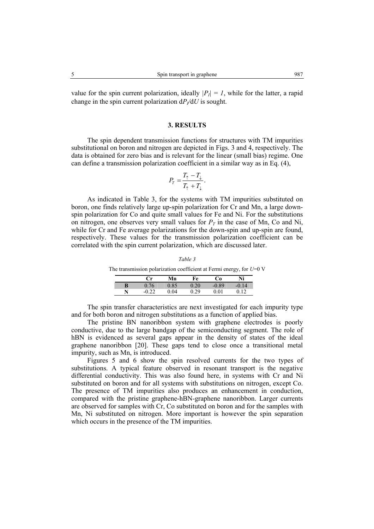#### **3. RESULTS**

The spin dependent transmission functions for structures with TM impurities substitutional on boron and nitrogen are depicted in Figs. 3 and 4, respectively. The data is obtained for zero bias and is relevant for the linear (small bias) regime. One can define a transmission polarization coefficient in a similar way as in Eq. (4),

$$
P_T = \frac{T_\uparrow - T_\downarrow}{T_\uparrow + T_\downarrow}.
$$

 As indicated in Table 3, for the systems with TM impurities substituted on boron, one finds relatively large up-spin polarization for Cr and Mn, a large downspin polarization for Co and quite small values for Fe and Ni. For the substitutions on nitrogen, one observes very small values for  $P<sub>T</sub>$  in the case of Mn, Co and Ni, while for Cr and Fe average polarizations for the down-spin and up-spin are found, respectively. These values for the transmission polarization coefficient can be correlated with the spin current polarization, which are discussed later.

*Table 3*  The transmission polarization coefficient at Fermi energy, for *U*=0 V

|   | ∴r    | Mn   | Fe       | ം:       | Ni |
|---|-------|------|----------|----------|----|
| B | 0.76  | 0.85 | $0.20\,$ | $-0.89$  | 14 |
| N | $-()$ | 04   | 29       | $0.01\,$ |    |

 The spin transfer characteristics are next investigated for each impurity type and for both boron and nitrogen substitutions as a function of applied bias.

 The pristine BN nanoribbon system with graphene electrodes is poorly conductive, due to the large bandgap of the semiconducting segment. The role of hBN is evidenced as several gaps appear in the density of states of the ideal graphene nanoribbon [20]. These gaps tend to close once a transitional metal impurity, such as Mn, is introduced.

 Figures 5 and 6 show the spin resolved currents for the two types of substitutions. A typical feature observed in resonant transport is the negative differential conductivity. This was also found here, in systems with Cr and Ni substituted on boron and for all systems with substitutions on nitrogen, except Co. The presence of TM impurities also produces an enhancement in conduction, compared with the pristine graphene-hBN-graphene nanoribbon. Larger currents are observed for samples with Cr, Co substituted on boron and for the samples with Mn, Ni substituted on nitrogen. More important is however the spin separation which occurs in the presence of the TM impurities.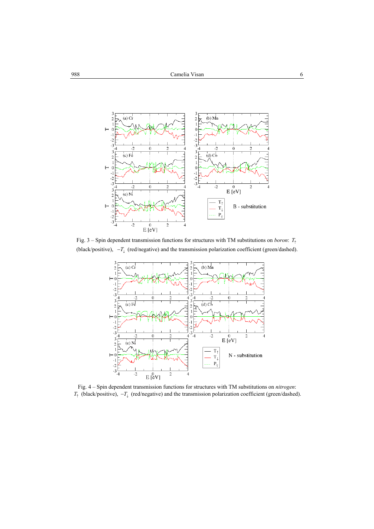

Fig. 3 – Spin dependent transmission functions for structures with TM substitutions on *boron*:  $T_1$ (black/positive),  $-T_{\downarrow}$  (red/negative) and the transmission polarization coefficient (green/dashed).



Fig. 4 – Spin dependent transmission functions for structures with TM substitutions on *nitrogen*:  $T_{\uparrow}$  (black/positive),  $-T_{\downarrow}$  (red/negative) and the transmission polarization coefficient (green/dashed).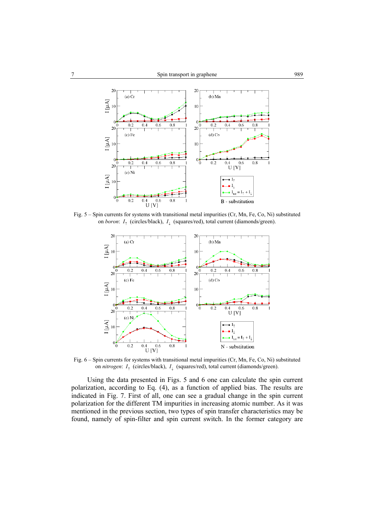

Fig. 5 – Spin currents for systems with transitional metal impurities (Cr, Mn, Fe, Co, Ni) substituted on *boron*: *I*↑ (circles/black), *I*↓ (squares/red), total current (diamonds/green).



Fig. 6 – Spin currents for systems with transitional metal impurities (Cr, Mn, Fe, Co, Ni) substituted on *nitrogen*: *I*↑ (circles/black), *I*↓ (squares/red), total current (diamonds/green).

 Using the data presented in Figs. 5 and 6 one can calculate the spin current polarization, according to Eq. (4), as a function of applied bias. The results are indicated in Fig. 7. First of all, one can see a gradual change in the spin current polarization for the different TM impurities in increasing atomic number. As it was mentioned in the previous section, two types of spin transfer characteristics may be found, namely of spin-filter and spin current switch. In the former category are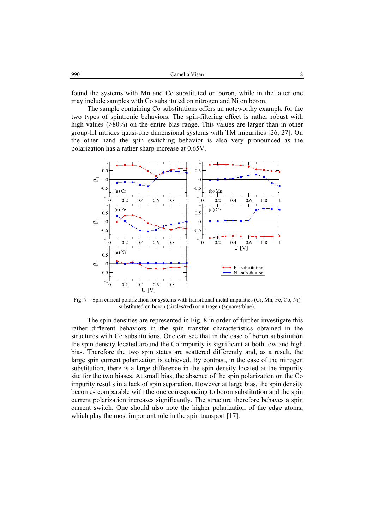| 990 | Camelia Visan |  |
|-----|---------------|--|
|     |               |  |

found the systems with Mn and Co substituted on boron, while in the latter one may include samples with Co substituted on nitrogen and Ni on boron.

 The sample containing Co substitutions offers an noteworthy example for the two types of spintronic behaviors. The spin-filtering effect is rather robust with high values ( $>80\%$ ) on the entire bias range. This values are larger than in other group-III nitrides quasi-one dimensional systems with TM impurities [26, 27]. On the other hand the spin switching behavior is also very pronounced as the polarization has a rather sharp increase at 0.65V.



Fig. 7 – Spin current polarization for systems with transitional metal impurities (Cr, Mn, Fe, Co, Ni) substituted on boron (circles/red) or nitrogen (squares/blue).

 The spin densities are represented in Fig. 8 in order of further investigate this rather different behaviors in the spin transfer characteristics obtained in the structures with Co substitutions. One can see that in the case of boron substitution the spin density located around the Co impurity is significant at both low and high bias. Therefore the two spin states are scattered differently and, as a result, the large spin current polarization is achieved. By contrast, in the case of the nitrogen substitution, there is a large difference in the spin density located at the impurity site for the two biases. At small bias, the absence of the spin polarization on the Co impurity results in a lack of spin separation. However at large bias, the spin density becomes comparable with the one corresponding to boron substitution and the spin current polarization increases significantly. The structure therefore behaves a spin current switch. One should also note the higher polarization of the edge atoms, which play the most important role in the spin transport [17].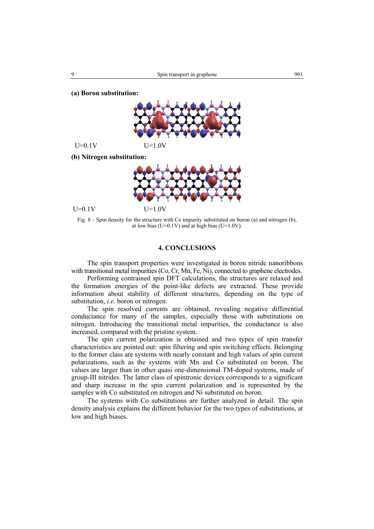**(a) Boron substitution:** 



 $U=0.1V$   $U=1.0V$ 

**(b) Nitrogen substitution:** 



 $U=0.1V$   $U=1.0V$ 

Fig. 8 – Spin density for the structure with Co impurity substituted on boron (a) and nitrogen (b), at low bias (U=0.1V) and at high bias (U=1.0V).

## **4. CONCLUSIONS**

 The spin transport properties were investigated in boron nitride nanoribbons with transitional metal impurities (Co, Cr, Mn, Fe, Ni), connected to graphene electrodes.

 Performing contrained spin DFT calculations, the structures are relaxed and the formation energies of the point-like defects are extracted. These provide information about stability of different structures, depending on the type of substitution, *i.e.* boron or nitrogen.

 The spin resolved currents are obtained, revealing negative differential conductance for many of the samples, especially those with substitutions on nitrogen. Introducing the transitional metal impurities, the conductance is also increased, compared with the pristine system.

 The spin current polarization is obtained and two types of spin transfer characteristics are pointed out: spin filtering and spin switching effects. Belonging to the former class are systems with nearly constant and high values of spin current polarizations, such as the systems with Mn and Co substituted on boron. The values are larger than in other quasi one-dimensional TM-doped systems, made of group-III nitrides. The latter class of spintronic devices corresponds to a significant and sharp increase in the spin current polarization and is represented by the samples with Co substituted on nitrogen and Ni substituted on boron.

 The systems with Co substitutions are further analyzed in detail. The spin density analysis explains the different behavior for the two types of substitutions, at low and high biases.